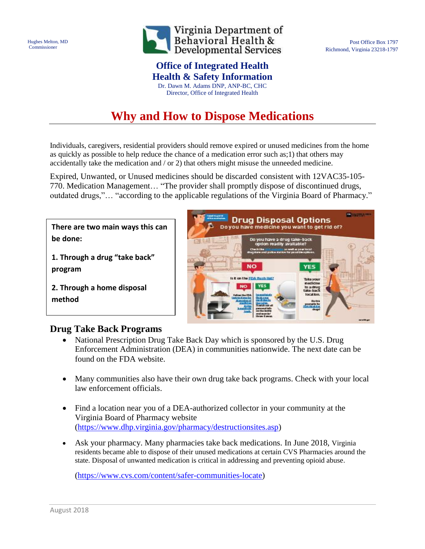Hughes Melton, MD Commissioner



## **Office of Integrated Health**

**Health & Safety Information** Dr. Dawn M. Adams DNP, ANP-BC, CHC Director, Office of Integrated Health

# **Why and How to Dispose Medications**

Individuals, caregivers, residential providers should remove expired or unused medicines from the home as quickly as possible to help reduce the chance of a medication error such as;1) that others may accidentally take the medication and / or 2) that others might misuse the unneeded medicine.

Expired, Unwanted, or Unused medicines should be discarded consistent with 12VAC35-105- 770. Medication Management… "The provider shall promptly dispose of discontinued drugs, outdated drugs,"… "according to the applicable regulations of the Virginia Board of Pharmacy."

**There are two main ways this can be done:**

**1. Through a drug "take back" program**

**2. Through a home disposal method**



Post Office Box 1797

Richmond, Virginia 23218-1797

## **Drug Take Back Programs**

- [National Prescription Drug Take Back Day](https://www.deadiversion.usdoj.gov/drug_disposal/takeback/index.html) which is sponsored by the U.S. Drug Enforcement Administration (DEA) in communities nationwide. The next date can be found on the FDA website.
- Many communities also have their own drug take back programs. Check with your local law enforcement officials.
- Find a location near you of a DEA-authorized collector in your community at the Virginia Board of Pharmacy website [\(https://www.dhp.virginia.gov/pharmacy/destructionsites.asp\)](https://www.dhp.virginia.gov/pharmacy/destructionsites.asp)
- Ask your pharmacy. Many pharmacies take back medications. In June 2018, Virginia residents became able to dispose of their unused medications at certain CVS Pharmacies around the state. Disposal of unwanted medication is critical in addressing and preventing opioid abuse.

[\(https://www.cvs.com/content/safer-communities-locate\)](https://www.cvs.com/content/safer-communities-locate)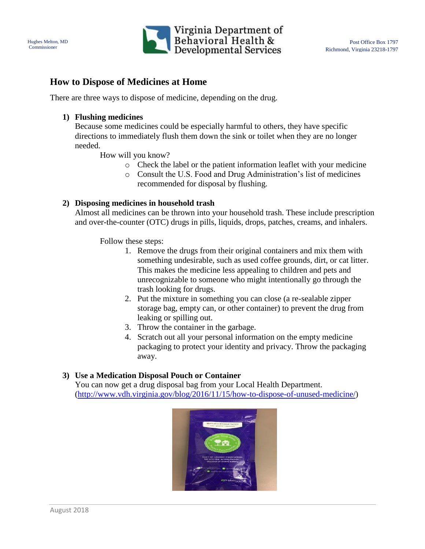



### **How to Dispose of Medicines at Home**

There are three ways to dispose of medicine, depending on the drug.

#### **1) Flushing medicines**

Because some medicines could be especially harmful to others, they have specific directions to immediately flush them down the sink or toilet when they are no longer needed.

How will you know?

- o Check the label or the patient information leaflet with your medicine
- o Consult [the U.S. Food and Drug Administration's list](https://www.fda.gov/ForConsumers/ConsumerUpdates/ssLINK/ucm576167) of medicines recommended for disposal by flushing.

#### **2) Disposing medicines in household trash**

Almost all medicines can be thrown into your household trash. These include prescription and over-the-counter (OTC) drugs in pills, liquids, drops, patches, creams, and inhalers.

Follow these steps:

- 1. Remove the drugs from their original containers and mix them with something undesirable, such as used coffee grounds, dirt, or cat litter. This makes the medicine less appealing to children and pets and unrecognizable to someone who might intentionally go through the trash looking for drugs.
- 2. Put the mixture in something you can close (a re-sealable zipper storage bag, empty can, or other container) to prevent the drug from leaking or spilling out.
- 3. Throw the container in the garbage.
- 4. Scratch out all your personal information on the empty medicine packaging to protect your identity and privacy. Throw the packaging away.

#### **3) Use a Medication Disposal Pouch or Container**

You can now get a drug disposal bag from your Local Health Department. [\(http://www.vdh.virginia.gov/blog/2016/11/15/how-to-dispose-of-unused-medicine/\)](http://www.vdh.virginia.gov/blog/2016/11/15/how-to-dispose-of-unused-medicine/)

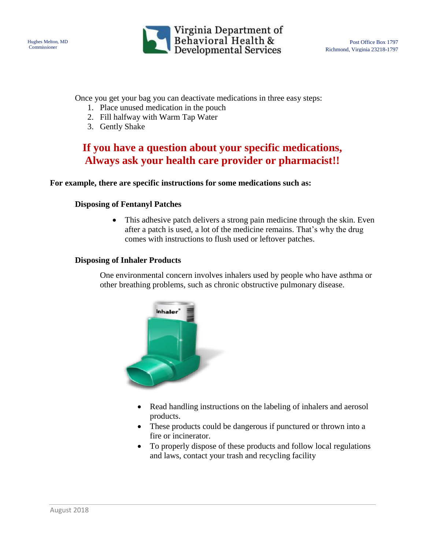



Once you get your bag you can deactivate medications in three easy steps:

- 1. Place unused medication in the pouch
- 2. Fill halfway with Warm Tap Water
- 3. Gently Shake

## **If you have a question about your specific medications, Always ask your health care provider or pharmacist!!**

#### **For example, there are specific instructions for some medications such as:**

#### **Disposing of Fentanyl Patches**

 This adhesive patch delivers a strong pain medicine through the skin. Even after a patch is used, a lot of the medicine remains. That's why the drug comes with instructions to flush used or leftover patches.

#### **Disposing of Inhaler Products**

One environmental concern involves inhalers used by people who have asthma or other breathing problems, such as chronic obstructive pulmonary disease.



- Read handling instructions on the labeling of inhalers and aerosol products.
- These products could be dangerous if punctured or thrown into a fire or incinerator.
- To properly dispose of these products and follow local regulations and laws, contact your trash and recycling facility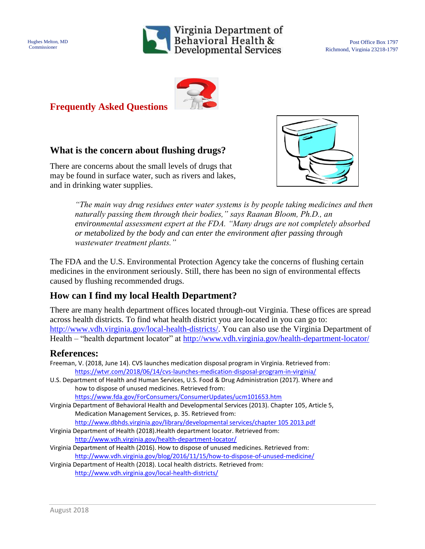

Post Office Box 1797 Richmond, Virginia 23218-1797



## **Frequently Asked Questions**

## **What is the concern about flushing drugs?**

There are concerns about the small levels of drugs that may be found in surface water, such as rivers and lakes, and in drinking water supplies.



*"The main way drug residues enter water systems is by people taking medicines and then naturally passing them through their bodies," says Raanan Bloom, Ph.D., an environmental assessment expert at the FDA. "Many drugs are not completely absorbed or metabolized by the body and can enter the environment after passing through wastewater treatment plants."*

The FDA and the U.S. Environmental Protection Agency take the concerns of flushing certain medicines in the environment seriously. Still, there has been no sign of environmental effects caused by flushing recommended drugs.

## **How can I find my local Health Department?**

There are many health department offices located through-out Virginia. These offices are spread across health districts. To find what health district you are located in you can go to: [http://www.vdh.virginia.gov/local-health-districts/.](http://www.vdh.virginia.gov/local-health-districts/) You can also use the Virginia Department of Health – "health department locator" at<http://www.vdh.virginia.gov/health-department-locator/>

### **References:**

| Freeman, V. (2018, June 14). CVS launches medication disposal program in Virginia. Retrieved from:<br>https://wtvr.com/2018/06/14/cvs-launches-medication-disposal-program-in-virginia/ |
|-----------------------------------------------------------------------------------------------------------------------------------------------------------------------------------------|
| U.S. Department of Health and Human Services, U.S. Food & Drug Administration (2017). Where and                                                                                         |
| how to dispose of unused medicines. Retrieved from:                                                                                                                                     |
| https://www.fda.gov/ForConsumers/ConsumerUpdates/ucm101653.htm                                                                                                                          |
| Virginia Department of Behavioral Health and Developmental Services (2013). Chapter 105, Article 5,                                                                                     |
| Medication Management Services, p. 35. Retrieved from:                                                                                                                                  |
| http://www.dbhds.virginia.gov/library/developmental services/chapter 105 2013.pdf                                                                                                       |
| Virginia Department of Health (2018). Health department locator. Retrieved from:                                                                                                        |
| http://www.vdh.virginia.gov/health-department-locator/                                                                                                                                  |
| Virginia Department of Health (2016). How to dispose of unused medicines. Retrieved from:                                                                                               |
| http://www.vdh.virginia.gov/blog/2016/11/15/how-to-dispose-of-unused-medicine/                                                                                                          |

Virginia Department of Health (2018). Local health districts. Retrieved from: <http://www.vdh.virginia.gov/local-health-districts/>